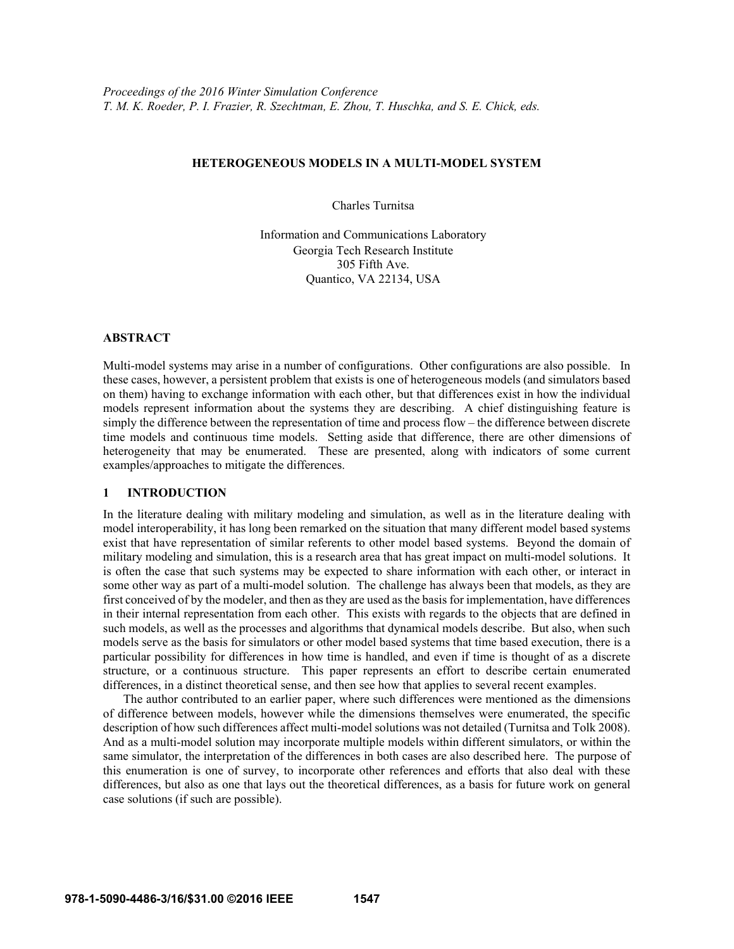### **HETEROGENEOUS MODELS IN A MULTI-MODEL SYSTEM**

Charles Turnitsa

Information and Communications Laboratory Georgia Tech Research Institute 305 Fifth Ave. Quantico, VA 22134, USA

## **ABSTRACT**

Multi-model systems may arise in a number of configurations. Other configurations are also possible. In these cases, however, a persistent problem that exists is one of heterogeneous models (and simulators based on them) having to exchange information with each other, but that differences exist in how the individual models represent information about the systems they are describing. A chief distinguishing feature is simply the difference between the representation of time and process flow – the difference between discrete time models and continuous time models. Setting aside that difference, there are other dimensions of heterogeneity that may be enumerated. These are presented, along with indicators of some current examples/approaches to mitigate the differences.

#### **1 INTRODUCTION**

In the literature dealing with military modeling and simulation, as well as in the literature dealing with model interoperability, it has long been remarked on the situation that many different model based systems exist that have representation of similar referents to other model based systems. Beyond the domain of military modeling and simulation, this is a research area that has great impact on multi-model solutions. It is often the case that such systems may be expected to share information with each other, or interact in some other way as part of a multi-model solution. The challenge has always been that models, as they are first conceived of by the modeler, and then asthey are used as the basis for implementation, have differences in their internal representation from each other. This exists with regards to the objects that are defined in such models, as well as the processes and algorithms that dynamical models describe. But also, when such models serve as the basis for simulators or other model based systems that time based execution, there is a particular possibility for differences in how time is handled, and even if time is thought of as a discrete structure, or a continuous structure. This paper represents an effort to describe certain enumerated differences, in a distinct theoretical sense, and then see how that applies to several recent examples.

The author contributed to an earlier paper, where such differences were mentioned as the dimensions of difference between models, however while the dimensions themselves were enumerated, the specific description of how such differences affect multi-model solutions was not detailed (Turnitsa and Tolk 2008). And as a multi-model solution may incorporate multiple models within different simulators, or within the same simulator, the interpretation of the differences in both cases are also described here. The purpose of this enumeration is one of survey, to incorporate other references and efforts that also deal with these differences, but also as one that lays out the theoretical differences, as a basis for future work on general case solutions (if such are possible).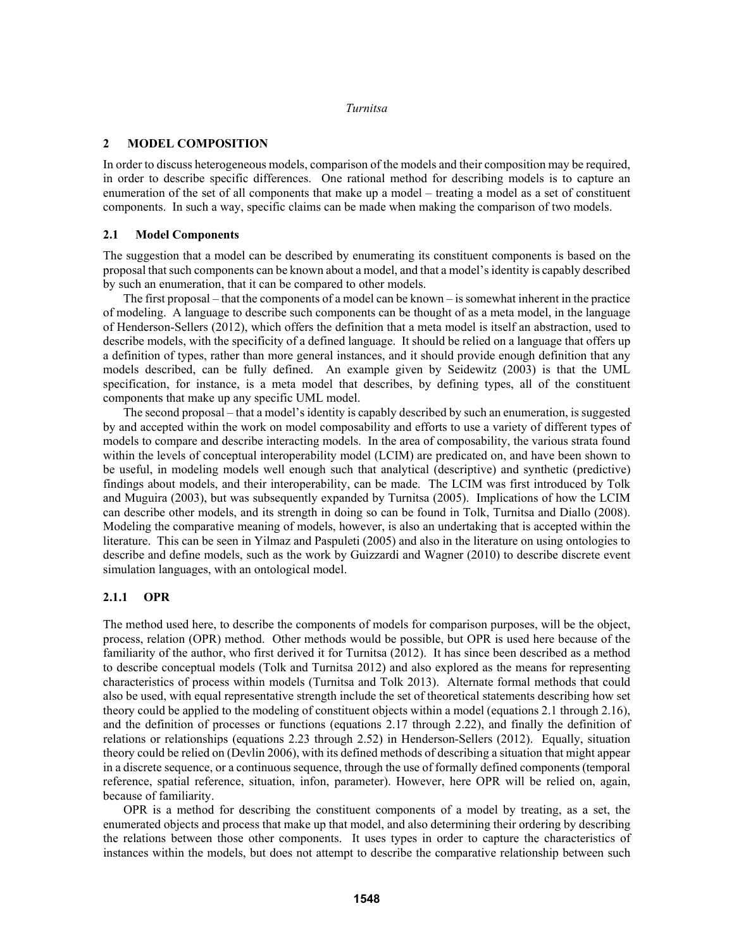#### **2 MODEL COMPOSITION**

In order to discuss heterogeneous models, comparison of the models and their composition may be required, in order to describe specific differences. One rational method for describing models is to capture an enumeration of the set of all components that make up a model – treating a model as a set of constituent components. In such a way, specific claims can be made when making the comparison of two models.

#### **2.1 Model Components**

The suggestion that a model can be described by enumerating its constituent components is based on the proposal that such components can be known about a model, and that a model's identity is capably described by such an enumeration, that it can be compared to other models.

The first proposal – that the components of a model can be known – is somewhat inherent in the practice of modeling. A language to describe such components can be thought of as a meta model, in the language of Henderson-Sellers (2012), which offers the definition that a meta model is itself an abstraction, used to describe models, with the specificity of a defined language. It should be relied on a language that offers up a definition of types, rather than more general instances, and it should provide enough definition that any models described, can be fully defined. An example given by Seidewitz (2003) is that the UML specification, for instance, is a meta model that describes, by defining types, all of the constituent components that make up any specific UML model.

The second proposal – that a model's identity is capably described by such an enumeration, is suggested by and accepted within the work on model composability and efforts to use a variety of different types of models to compare and describe interacting models. In the area of composability, the various strata found within the levels of conceptual interoperability model (LCIM) are predicated on, and have been shown to be useful, in modeling models well enough such that analytical (descriptive) and synthetic (predictive) findings about models, and their interoperability, can be made. The LCIM was first introduced by Tolk and Muguira (2003), but was subsequently expanded by Turnitsa (2005). Implications of how the LCIM can describe other models, and its strength in doing so can be found in Tolk, Turnitsa and Diallo (2008). Modeling the comparative meaning of models, however, is also an undertaking that is accepted within the literature. This can be seen in Yilmaz and Paspuleti (2005) and also in the literature on using ontologies to describe and define models, such as the work by Guizzardi and Wagner (2010) to describe discrete event simulation languages, with an ontological model.

#### **2.1.1 OPR**

The method used here, to describe the components of models for comparison purposes, will be the object, process, relation (OPR) method. Other methods would be possible, but OPR is used here because of the familiarity of the author, who first derived it for Turnitsa (2012). It has since been described as a method to describe conceptual models (Tolk and Turnitsa 2012) and also explored as the means for representing characteristics of process within models (Turnitsa and Tolk 2013). Alternate formal methods that could also be used, with equal representative strength include the set of theoretical statements describing how set theory could be applied to the modeling of constituent objects within a model (equations 2.1 through 2.16), and the definition of processes or functions (equations 2.17 through 2.22), and finally the definition of relations or relationships (equations 2.23 through 2.52) in Henderson-Sellers (2012). Equally, situation theory could be relied on (Devlin 2006), with its defined methods of describing a situation that might appear in a discrete sequence, or a continuous sequence, through the use of formally defined components (temporal reference, spatial reference, situation, infon, parameter). However, here OPR will be relied on, again, because of familiarity.

OPR is a method for describing the constituent components of a model by treating, as a set, the enumerated objects and process that make up that model, and also determining their ordering by describing the relations between those other components. It uses types in order to capture the characteristics of instances within the models, but does not attempt to describe the comparative relationship between such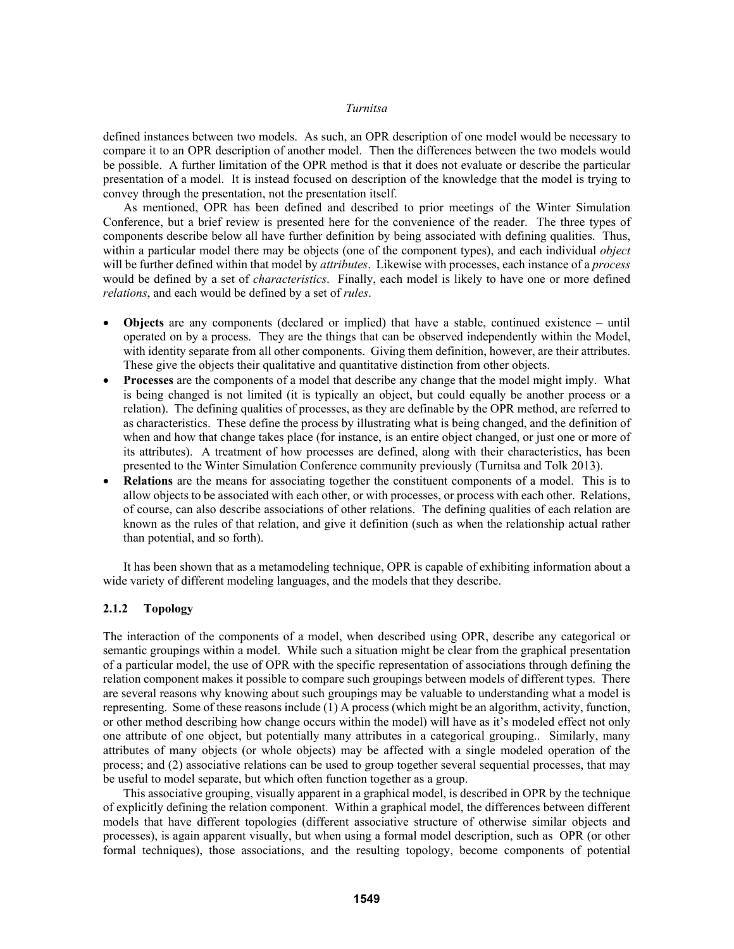defined instances between two models. As such, an OPR description of one model would be necessary to compare it to an OPR description of another model. Then the differences between the two models would be possible. A further limitation of the OPR method is that it does not evaluate or describe the particular presentation of a model. It is instead focused on description of the knowledge that the model is trying to convey through the presentation, not the presentation itself.

As mentioned, OPR has been defined and described to prior meetings of the Winter Simulation Conference, but a brief review is presented here for the convenience of the reader. The three types of components describe below all have further definition by being associated with defining qualities. Thus, within a particular model there may be objects (one of the component types), and each individual *object* will be further defined within that model by *attributes*. Likewise with processes, each instance of a *process* would be defined by a set of *characteristics*. Finally, each model is likely to have one or more defined *relations*, and each would be defined by a set of *rules*.

- **Objects** are any components (declared or implied) that have a stable, continued existence until operated on by a process. They are the things that can be observed independently within the Model, with identity separate from all other components. Giving them definition, however, are their attributes. These give the objects their qualitative and quantitative distinction from other objects.
- **Processes** are the components of a model that describe any change that the model might imply. What is being changed is not limited (it is typically an object, but could equally be another process or a relation). The defining qualities of processes, as they are definable by the OPR method, are referred to as characteristics. These define the process by illustrating what is being changed, and the definition of when and how that change takes place (for instance, is an entire object changed, or just one or more of its attributes). A treatment of how processes are defined, along with their characteristics, has been presented to the Winter Simulation Conference community previously (Turnitsa and Tolk 2013).
- **Relations** are the means for associating together the constituent components of a model. This is to allow objects to be associated with each other, or with processes, or process with each other. Relations, of course, can also describe associations of other relations. The defining qualities of each relation are known as the rules of that relation, and give it definition (such as when the relationship actual rather than potential, and so forth).

It has been shown that as a metamodeling technique, OPR is capable of exhibiting information about a wide variety of different modeling languages, and the models that they describe.

### **2.1.2 Topology**

The interaction of the components of a model, when described using OPR, describe any categorical or semantic groupings within a model. While such a situation might be clear from the graphical presentation of a particular model, the use of OPR with the specific representation of associations through defining the relation component makes it possible to compare such groupings between models of different types. There are several reasons why knowing about such groupings may be valuable to understanding what a model is representing. Some of these reasons include (1) A process (which might be an algorithm, activity, function, or other method describing how change occurs within the model) will have as it's modeled effect not only one attribute of one object, but potentially many attributes in a categorical grouping.. Similarly, many attributes of many objects (or whole objects) may be affected with a single modeled operation of the process; and (2) associative relations can be used to group together several sequential processes, that may be useful to model separate, but which often function together as a group.

This associative grouping, visually apparent in a graphical model, is described in OPR by the technique of explicitly defining the relation component. Within a graphical model, the differences between different models that have different topologies (different associative structure of otherwise similar objects and processes), is again apparent visually, but when using a formal model description, such as OPR (or other formal techniques), those associations, and the resulting topology, become components of potential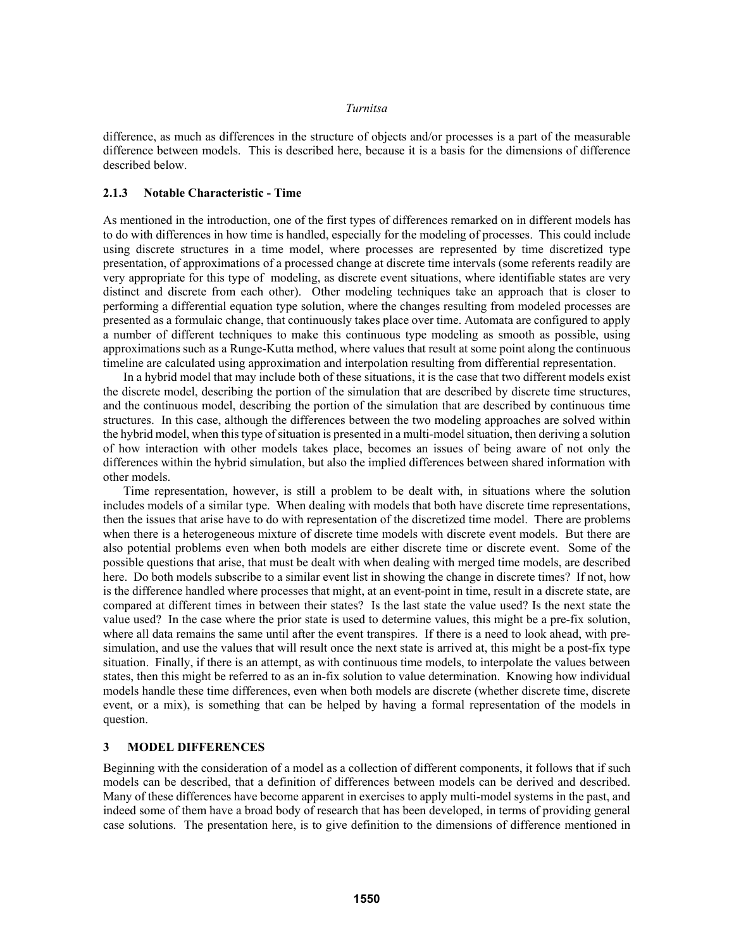difference, as much as differences in the structure of objects and/or processes is a part of the measurable difference between models. This is described here, because it is a basis for the dimensions of difference described below.

### **2.1.3 Notable Characteristic - Time**

As mentioned in the introduction, one of the first types of differences remarked on in different models has to do with differences in how time is handled, especially for the modeling of processes. This could include using discrete structures in a time model, where processes are represented by time discretized type presentation, of approximations of a processed change at discrete time intervals (some referents readily are very appropriate for this type of modeling, as discrete event situations, where identifiable states are very distinct and discrete from each other). Other modeling techniques take an approach that is closer to performing a differential equation type solution, where the changes resulting from modeled processes are presented as a formulaic change, that continuously takes place over time. Automata are configured to apply a number of different techniques to make this continuous type modeling as smooth as possible, using approximations such as a Runge-Kutta method, where values that result at some point along the continuous timeline are calculated using approximation and interpolation resulting from differential representation.

In a hybrid model that may include both of these situations, it is the case that two different models exist the discrete model, describing the portion of the simulation that are described by discrete time structures, and the continuous model, describing the portion of the simulation that are described by continuous time structures. In this case, although the differences between the two modeling approaches are solved within the hybrid model, when this type of situation is presented in a multi-model situation, then deriving a solution of how interaction with other models takes place, becomes an issues of being aware of not only the differences within the hybrid simulation, but also the implied differences between shared information with other models.

Time representation, however, is still a problem to be dealt with, in situations where the solution includes models of a similar type. When dealing with models that both have discrete time representations, then the issues that arise have to do with representation of the discretized time model. There are problems when there is a heterogeneous mixture of discrete time models with discrete event models. But there are also potential problems even when both models are either discrete time or discrete event. Some of the possible questions that arise, that must be dealt with when dealing with merged time models, are described here. Do both models subscribe to a similar event list in showing the change in discrete times? If not, how is the difference handled where processes that might, at an event-point in time, result in a discrete state, are compared at different times in between their states? Is the last state the value used? Is the next state the value used? In the case where the prior state is used to determine values, this might be a pre-fix solution, where all data remains the same until after the event transpires. If there is a need to look ahead, with presimulation, and use the values that will result once the next state is arrived at, this might be a post-fix type situation. Finally, if there is an attempt, as with continuous time models, to interpolate the values between states, then this might be referred to as an in-fix solution to value determination. Knowing how individual models handle these time differences, even when both models are discrete (whether discrete time, discrete event, or a mix), is something that can be helped by having a formal representation of the models in question.

# **3 MODEL DIFFERENCES**

Beginning with the consideration of a model as a collection of different components, it follows that if such models can be described, that a definition of differences between models can be derived and described. Many of these differences have become apparent in exercises to apply multi-model systems in the past, and indeed some of them have a broad body of research that has been developed, in terms of providing general case solutions. The presentation here, is to give definition to the dimensions of difference mentioned in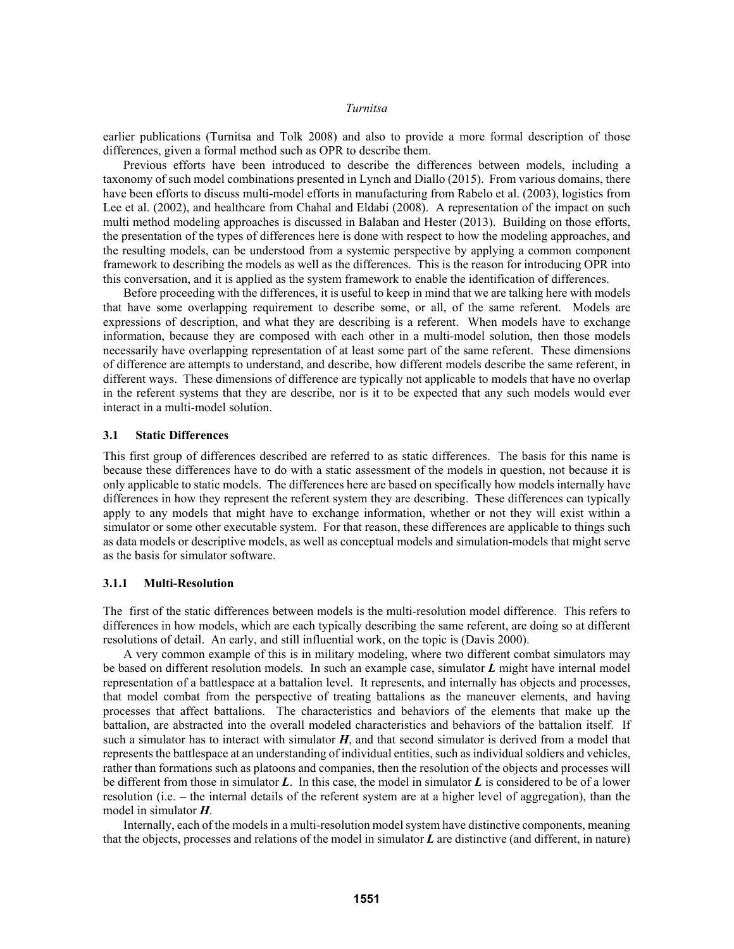earlier publications (Turnitsa and Tolk 2008) and also to provide a more formal description of those differences, given a formal method such as OPR to describe them.

Previous efforts have been introduced to describe the differences between models, including a taxonomy of such model combinations presented in Lynch and Diallo (2015). From various domains, there have been efforts to discuss multi-model efforts in manufacturing from Rabelo et al. (2003), logistics from Lee et al. (2002), and healthcare from Chahal and Eldabi (2008). A representation of the impact on such multi method modeling approaches is discussed in Balaban and Hester (2013). Building on those efforts, the presentation of the types of differences here is done with respect to how the modeling approaches, and the resulting models, can be understood from a systemic perspective by applying a common component framework to describing the models as well as the differences. This is the reason for introducing OPR into this conversation, and it is applied as the system framework to enable the identification of differences.

Before proceeding with the differences, it is useful to keep in mind that we are talking here with models that have some overlapping requirement to describe some, or all, of the same referent. Models are expressions of description, and what they are describing is a referent. When models have to exchange information, because they are composed with each other in a multi-model solution, then those models necessarily have overlapping representation of at least some part of the same referent. These dimensions of difference are attempts to understand, and describe, how different models describe the same referent, in different ways. These dimensions of difference are typically not applicable to models that have no overlap in the referent systems that they are describe, nor is it to be expected that any such models would ever interact in a multi-model solution.

# **3.1 Static Differences**

This first group of differences described are referred to as static differences. The basis for this name is because these differences have to do with a static assessment of the models in question, not because it is only applicable to static models. The differences here are based on specifically how models internally have differences in how they represent the referent system they are describing. These differences can typically apply to any models that might have to exchange information, whether or not they will exist within a simulator or some other executable system. For that reason, these differences are applicable to things such as data models or descriptive models, as well as conceptual models and simulation-models that might serve as the basis for simulator software.

#### **3.1.1 Multi-Resolution**

The first of the static differences between models is the multi-resolution model difference. This refers to differences in how models, which are each typically describing the same referent, are doing so at different resolutions of detail. An early, and still influential work, on the topic is (Davis 2000).

A very common example of this is in military modeling, where two different combat simulators may be based on different resolution models. In such an example case, simulator *L* might have internal model representation of a battlespace at a battalion level. It represents, and internally has objects and processes, that model combat from the perspective of treating battalions as the maneuver elements, and having processes that affect battalions. The characteristics and behaviors of the elements that make up the battalion, are abstracted into the overall modeled characteristics and behaviors of the battalion itself. If such a simulator has to interact with simulator  $H$ , and that second simulator is derived from a model that represents the battlespace at an understanding of individual entities, such as individual soldiers and vehicles, rather than formations such as platoons and companies, then the resolution of the objects and processes will be different from those in simulator *L*. In this case, the model in simulator *L* is considered to be of a lower resolution (i.e. – the internal details of the referent system are at a higher level of aggregation), than the model in simulator *H*.

Internally, each of the models in a multi-resolution model system have distinctive components, meaning that the objects, processes and relations of the model in simulator *L* are distinctive (and different, in nature)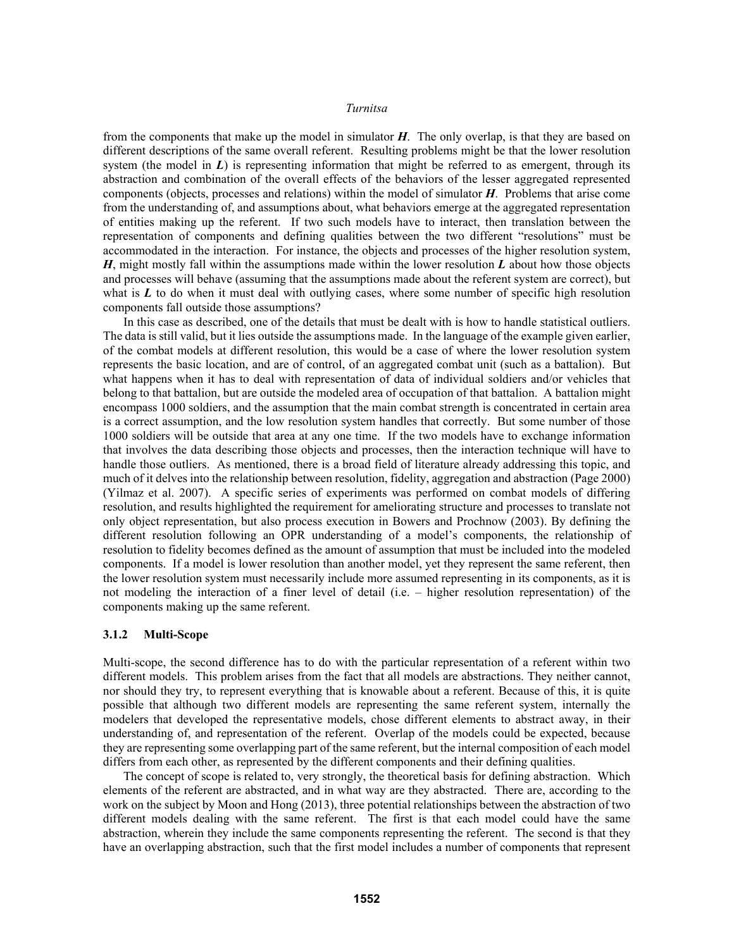from the components that make up the model in simulator *H*. The only overlap, is that they are based on different descriptions of the same overall referent. Resulting problems might be that the lower resolution system (the model in  $L$ ) is representing information that might be referred to as emergent, through its abstraction and combination of the overall effects of the behaviors of the lesser aggregated represented components (objects, processes and relations) within the model of simulator *H*. Problems that arise come from the understanding of, and assumptions about, what behaviors emerge at the aggregated representation of entities making up the referent. If two such models have to interact, then translation between the representation of components and defining qualities between the two different "resolutions" must be accommodated in the interaction. For instance, the objects and processes of the higher resolution system, *H*, might mostly fall within the assumptions made within the lower resolution *L* about how those objects and processes will behave (assuming that the assumptions made about the referent system are correct), but what is *L* to do when it must deal with outlying cases, where some number of specific high resolution components fall outside those assumptions?

In this case as described, one of the details that must be dealt with is how to handle statistical outliers. The data is still valid, but it lies outside the assumptions made. In the language of the example given earlier, of the combat models at different resolution, this would be a case of where the lower resolution system represents the basic location, and are of control, of an aggregated combat unit (such as a battalion). But what happens when it has to deal with representation of data of individual soldiers and/or vehicles that belong to that battalion, but are outside the modeled area of occupation of that battalion. A battalion might encompass 1000 soldiers, and the assumption that the main combat strength is concentrated in certain area is a correct assumption, and the low resolution system handles that correctly. But some number of those 1000 soldiers will be outside that area at any one time. If the two models have to exchange information that involves the data describing those objects and processes, then the interaction technique will have to handle those outliers. As mentioned, there is a broad field of literature already addressing this topic, and much of it delves into the relationship between resolution, fidelity, aggregation and abstraction (Page 2000) (Yilmaz et al. 2007). A specific series of experiments was performed on combat models of differing resolution, and results highlighted the requirement for ameliorating structure and processes to translate not only object representation, but also process execution in Bowers and Prochnow (2003). By defining the different resolution following an OPR understanding of a model's components, the relationship of resolution to fidelity becomes defined as the amount of assumption that must be included into the modeled components. If a model is lower resolution than another model, yet they represent the same referent, then the lower resolution system must necessarily include more assumed representing in its components, as it is not modeling the interaction of a finer level of detail (i.e. – higher resolution representation) of the components making up the same referent.

#### **3.1.2 Multi-Scope**

Multi-scope, the second difference has to do with the particular representation of a referent within two different models. This problem arises from the fact that all models are abstractions. They neither cannot, nor should they try, to represent everything that is knowable about a referent. Because of this, it is quite possible that although two different models are representing the same referent system, internally the modelers that developed the representative models, chose different elements to abstract away, in their understanding of, and representation of the referent. Overlap of the models could be expected, because they are representing some overlapping part of the same referent, but the internal composition of each model differs from each other, as represented by the different components and their defining qualities.

The concept of scope is related to, very strongly, the theoretical basis for defining abstraction. Which elements of the referent are abstracted, and in what way are they abstracted. There are, according to the work on the subject by Moon and Hong (2013), three potential relationships between the abstraction of two different models dealing with the same referent. The first is that each model could have the same abstraction, wherein they include the same components representing the referent. The second is that they have an overlapping abstraction, such that the first model includes a number of components that represent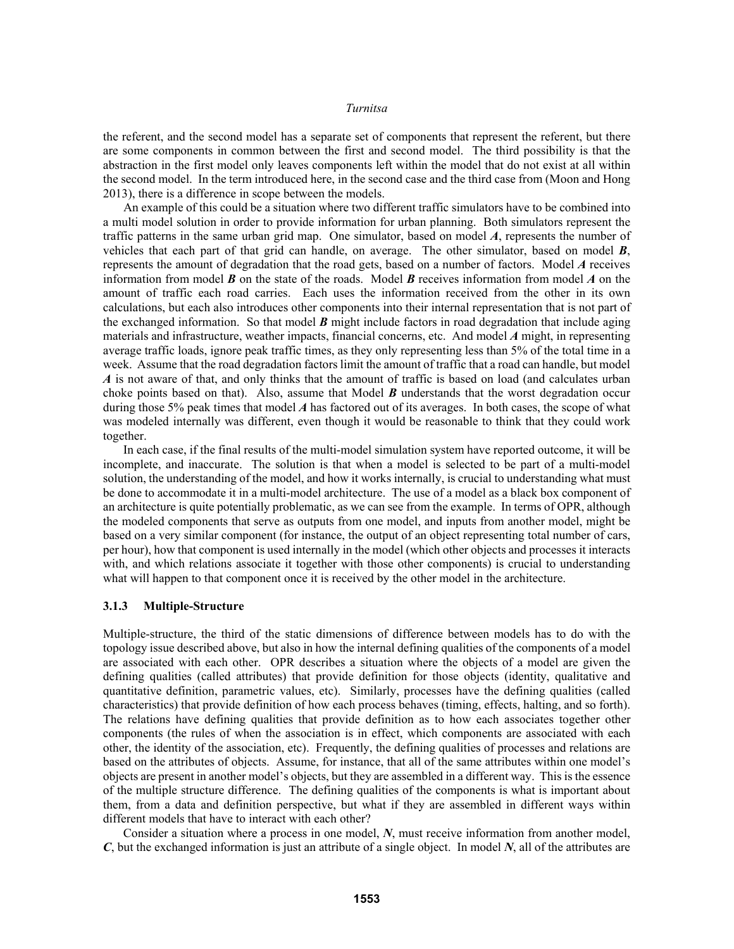the referent, and the second model has a separate set of components that represent the referent, but there are some components in common between the first and second model. The third possibility is that the abstraction in the first model only leaves components left within the model that do not exist at all within the second model. In the term introduced here, in the second case and the third case from (Moon and Hong 2013), there is a difference in scope between the models.

An example of this could be a situation where two different traffic simulators have to be combined into a multi model solution in order to provide information for urban planning. Both simulators represent the traffic patterns in the same urban grid map. One simulator, based on model *A*, represents the number of vehicles that each part of that grid can handle, on average. The other simulator, based on model *B*, represents the amount of degradation that the road gets, based on a number of factors. Model *A* receives information from model *B* on the state of the roads. Model *B* receives information from model *A* on the amount of traffic each road carries. Each uses the information received from the other in its own calculations, but each also introduces other components into their internal representation that is not part of the exchanged information. So that model *B* might include factors in road degradation that include aging materials and infrastructure, weather impacts, financial concerns, etc. And model *A* might, in representing average traffic loads, ignore peak traffic times, as they only representing less than 5% of the total time in a week. Assume that the road degradation factors limit the amount of traffic that a road can handle, but model *A* is not aware of that, and only thinks that the amount of traffic is based on load (and calculates urban choke points based on that). Also, assume that Model *B* understands that the worst degradation occur during those 5% peak times that model *A* has factored out of its averages. In both cases, the scope of what was modeled internally was different, even though it would be reasonable to think that they could work together.

In each case, if the final results of the multi-model simulation system have reported outcome, it will be incomplete, and inaccurate. The solution is that when a model is selected to be part of a multi-model solution, the understanding of the model, and how it works internally, is crucial to understanding what must be done to accommodate it in a multi-model architecture. The use of a model as a black box component of an architecture is quite potentially problematic, as we can see from the example. In terms of OPR, although the modeled components that serve as outputs from one model, and inputs from another model, might be based on a very similar component (for instance, the output of an object representing total number of cars, per hour), how that component is used internally in the model (which other objects and processes it interacts with, and which relations associate it together with those other components) is crucial to understanding what will happen to that component once it is received by the other model in the architecture.

# **3.1.3 Multiple-Structure**

Multiple-structure, the third of the static dimensions of difference between models has to do with the topology issue described above, but also in how the internal defining qualities of the components of a model are associated with each other. OPR describes a situation where the objects of a model are given the defining qualities (called attributes) that provide definition for those objects (identity, qualitative and quantitative definition, parametric values, etc). Similarly, processes have the defining qualities (called characteristics) that provide definition of how each process behaves (timing, effects, halting, and so forth). The relations have defining qualities that provide definition as to how each associates together other components (the rules of when the association is in effect, which components are associated with each other, the identity of the association, etc). Frequently, the defining qualities of processes and relations are based on the attributes of objects. Assume, for instance, that all of the same attributes within one model's objects are present in another model's objects, but they are assembled in a different way. This is the essence of the multiple structure difference. The defining qualities of the components is what is important about them, from a data and definition perspective, but what if they are assembled in different ways within different models that have to interact with each other?

Consider a situation where a process in one model, *N*, must receive information from another model, *C*, but the exchanged information is just an attribute of a single object. In model *N*, all of the attributes are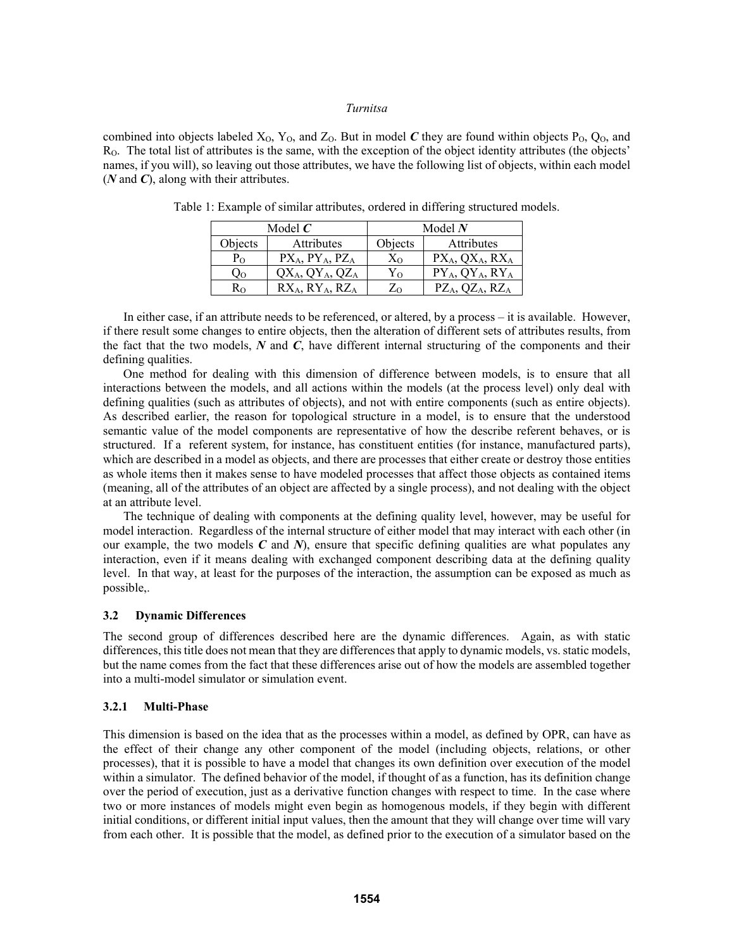combined into objects labeled  $X_0$ ,  $Y_0$ , and  $Z_0$ . But in model  $C$  they are found within objects  $P_0$ ,  $Q_0$ , and R<sub>O</sub>. The total list of attributes is the same, with the exception of the object identity attributes (the objects' names, if you will), so leaving out those attributes, we have the following list of objects, within each model (*N* and *C*), along with their attributes.

| Model $C$ |                                                                                                                                                              | Model $N$ |                          |
|-----------|--------------------------------------------------------------------------------------------------------------------------------------------------------------|-----------|--------------------------|
| Objects   | Attributes                                                                                                                                                   | Objects   | <b>Attributes</b>        |
| Po        | $PX_A$ , $PY_A$ , $PZ_A$                                                                                                                                     | Xο        | $PX_A$ , $QX_A$ , $RX_A$ |
| Oo        | $\mathop{\rm QX}\nolimits_{\mathop{\rm A}\nolimits}, \mathop{\rm QY}\nolimits_{\mathop{\rm A}\nolimits}, \mathop{\rm QZ}\nolimits_{\mathop{\rm A}\nolimits}$ | Yο        | $PY_A$ , $QY_A$ , $RY_A$ |
| Ro        | $RX_A$ , $RY_A$ , $RZ_A$                                                                                                                                     | Zο        | $PZ_A$ , $QZ_A$ , $RZ_A$ |

Table 1: Example of similar attributes, ordered in differing structured models.

In either case, if an attribute needs to be referenced, or altered, by a process – it is available. However, if there result some changes to entire objects, then the alteration of different sets of attributes results, from the fact that the two models, *N* and *C*, have different internal structuring of the components and their defining qualities.

One method for dealing with this dimension of difference between models, is to ensure that all interactions between the models, and all actions within the models (at the process level) only deal with defining qualities (such as attributes of objects), and not with entire components (such as entire objects). As described earlier, the reason for topological structure in a model, is to ensure that the understood semantic value of the model components are representative of how the describe referent behaves, or is structured. If a referent system, for instance, has constituent entities (for instance, manufactured parts), which are described in a model as objects, and there are processes that either create or destroy those entities as whole items then it makes sense to have modeled processes that affect those objects as contained items (meaning, all of the attributes of an object are affected by a single process), and not dealing with the object at an attribute level.

The technique of dealing with components at the defining quality level, however, may be useful for model interaction. Regardless of the internal structure of either model that may interact with each other (in our example, the two models  $C$  and  $N$ ), ensure that specific defining qualities are what populates any interaction, even if it means dealing with exchanged component describing data at the defining quality level. In that way, at least for the purposes of the interaction, the assumption can be exposed as much as possible,.

#### **3.2 Dynamic Differences**

The second group of differences described here are the dynamic differences. Again, as with static differences, this title does not mean that they are differences that apply to dynamic models, vs. static models, but the name comes from the fact that these differences arise out of how the models are assembled together into a multi-model simulator or simulation event.

#### **3.2.1 Multi-Phase**

This dimension is based on the idea that as the processes within a model, as defined by OPR, can have as the effect of their change any other component of the model (including objects, relations, or other processes), that it is possible to have a model that changes its own definition over execution of the model within a simulator. The defined behavior of the model, if thought of as a function, has its definition change over the period of execution, just as a derivative function changes with respect to time. In the case where two or more instances of models might even begin as homogenous models, if they begin with different initial conditions, or different initial input values, then the amount that they will change over time will vary from each other. It is possible that the model, as defined prior to the execution of a simulator based on the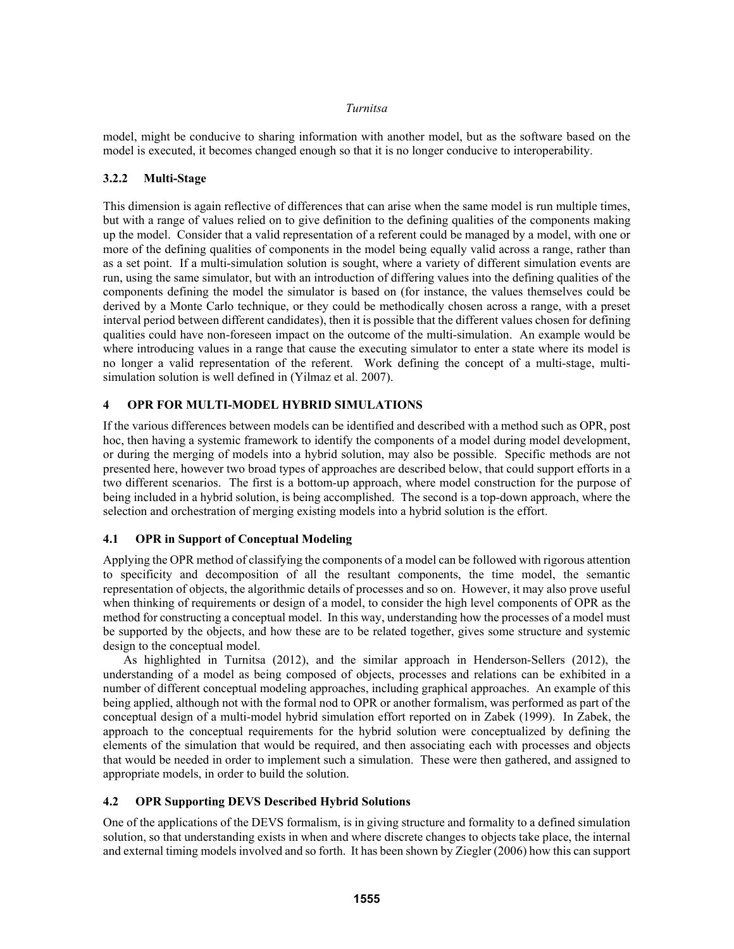model, might be conducive to sharing information with another model, but as the software based on the model is executed, it becomes changed enough so that it is no longer conducive to interoperability.

# **3.2.2 Multi-Stage**

This dimension is again reflective of differences that can arise when the same model is run multiple times, but with a range of values relied on to give definition to the defining qualities of the components making up the model. Consider that a valid representation of a referent could be managed by a model, with one or more of the defining qualities of components in the model being equally valid across a range, rather than as a set point. If a multi-simulation solution is sought, where a variety of different simulation events are run, using the same simulator, but with an introduction of differing values into the defining qualities of the components defining the model the simulator is based on (for instance, the values themselves could be derived by a Monte Carlo technique, or they could be methodically chosen across a range, with a preset interval period between different candidates), then it is possible that the different values chosen for defining qualities could have non-foreseen impact on the outcome of the multi-simulation. An example would be where introducing values in a range that cause the executing simulator to enter a state where its model is no longer a valid representation of the referent. Work defining the concept of a multi-stage, multisimulation solution is well defined in (Yilmaz et al. 2007).

# **4 OPR FOR MULTI-MODEL HYBRID SIMULATIONS**

If the various differences between models can be identified and described with a method such as OPR, post hoc, then having a systemic framework to identify the components of a model during model development, or during the merging of models into a hybrid solution, may also be possible. Specific methods are not presented here, however two broad types of approaches are described below, that could support efforts in a two different scenarios. The first is a bottom-up approach, where model construction for the purpose of being included in a hybrid solution, is being accomplished. The second is a top-down approach, where the selection and orchestration of merging existing models into a hybrid solution is the effort.

# **4.1 OPR in Support of Conceptual Modeling**

Applying the OPR method of classifying the components of a model can be followed with rigorous attention to specificity and decomposition of all the resultant components, the time model, the semantic representation of objects, the algorithmic details of processes and so on. However, it may also prove useful when thinking of requirements or design of a model, to consider the high level components of OPR as the method for constructing a conceptual model. In this way, understanding how the processes of a model must be supported by the objects, and how these are to be related together, gives some structure and systemic design to the conceptual model.

As highlighted in Turnitsa (2012), and the similar approach in Henderson-Sellers (2012), the understanding of a model as being composed of objects, processes and relations can be exhibited in a number of different conceptual modeling approaches, including graphical approaches. An example of this being applied, although not with the formal nod to OPR or another formalism, was performed as part of the conceptual design of a multi-model hybrid simulation effort reported on in Zabek (1999). In Zabek, the approach to the conceptual requirements for the hybrid solution were conceptualized by defining the elements of the simulation that would be required, and then associating each with processes and objects that would be needed in order to implement such a simulation. These were then gathered, and assigned to appropriate models, in order to build the solution.

# **4.2 OPR Supporting DEVS Described Hybrid Solutions**

One of the applications of the DEVS formalism, is in giving structure and formality to a defined simulation solution, so that understanding exists in when and where discrete changes to objects take place, the internal and external timing models involved and so forth. It has been shown by Ziegler (2006) how this can support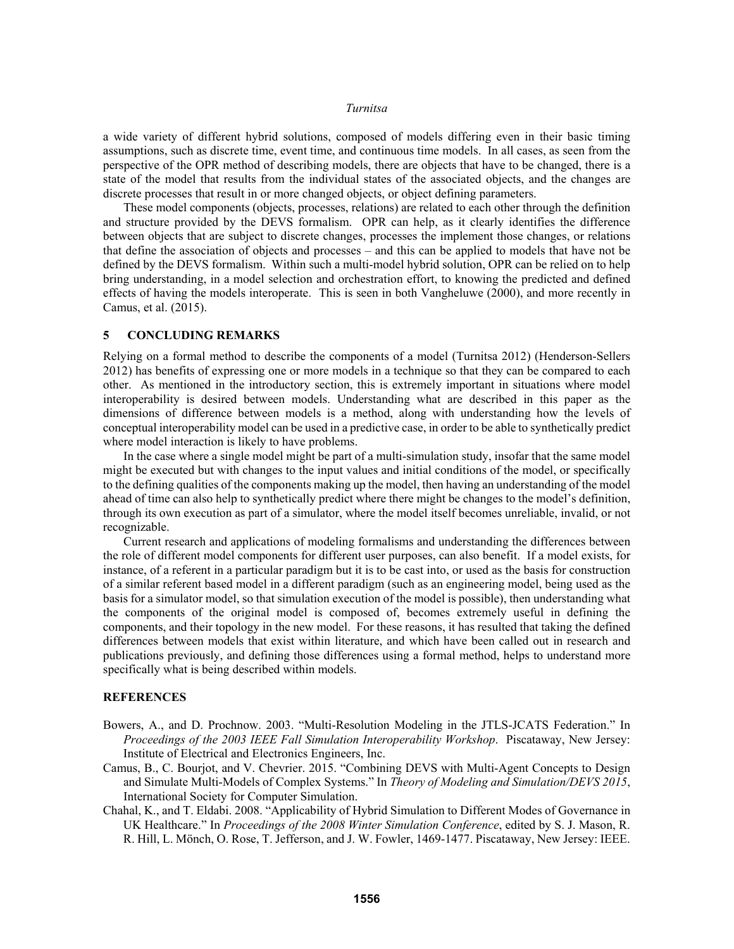a wide variety of different hybrid solutions, composed of models differing even in their basic timing assumptions, such as discrete time, event time, and continuous time models. In all cases, as seen from the perspective of the OPR method of describing models, there are objects that have to be changed, there is a state of the model that results from the individual states of the associated objects, and the changes are discrete processes that result in or more changed objects, or object defining parameters.

These model components (objects, processes, relations) are related to each other through the definition and structure provided by the DEVS formalism. OPR can help, as it clearly identifies the difference between objects that are subject to discrete changes, processes the implement those changes, or relations that define the association of objects and processes – and this can be applied to models that have not be defined by the DEVS formalism. Within such a multi-model hybrid solution, OPR can be relied on to help bring understanding, in a model selection and orchestration effort, to knowing the predicted and defined effects of having the models interoperate. This is seen in both Vangheluwe (2000), and more recently in Camus, et al. (2015).

### **5 CONCLUDING REMARKS**

Relying on a formal method to describe the components of a model (Turnitsa 2012) (Henderson-Sellers 2012) has benefits of expressing one or more models in a technique so that they can be compared to each other. As mentioned in the introductory section, this is extremely important in situations where model interoperability is desired between models. Understanding what are described in this paper as the dimensions of difference between models is a method, along with understanding how the levels of conceptual interoperability model can be used in a predictive case, in order to be able to synthetically predict where model interaction is likely to have problems.

In the case where a single model might be part of a multi-simulation study, insofar that the same model might be executed but with changes to the input values and initial conditions of the model, or specifically to the defining qualities of the components making up the model, then having an understanding of the model ahead of time can also help to synthetically predict where there might be changes to the model's definition, through its own execution as part of a simulator, where the model itself becomes unreliable, invalid, or not recognizable.

Current research and applications of modeling formalisms and understanding the differences between the role of different model components for different user purposes, can also benefit. If a model exists, for instance, of a referent in a particular paradigm but it is to be cast into, or used as the basis for construction of a similar referent based model in a different paradigm (such as an engineering model, being used as the basis for a simulator model, so that simulation execution of the model is possible), then understanding what the components of the original model is composed of, becomes extremely useful in defining the components, and their topology in the new model. For these reasons, it has resulted that taking the defined differences between models that exist within literature, and which have been called out in research and publications previously, and defining those differences using a formal method, helps to understand more specifically what is being described within models.

### **REFERENCES**

- Bowers, A., and D. Prochnow. 2003. "Multi-Resolution Modeling in the JTLS-JCATS Federation." In *Proceedings of the 2003 IEEE Fall Simulation Interoperability Workshop*. Piscataway, New Jersey: Institute of Electrical and Electronics Engineers, Inc.
- Camus, B., C. Bourjot, and V. Chevrier. 2015. "Combining DEVS with Multi-Agent Concepts to Design and Simulate Multi-Models of Complex Systems." In *Theory of Modeling and Simulation/DEVS 2015*, International Society for Computer Simulation.
- Chahal, K., and T. Eldabi. 2008. "Applicability of Hybrid Simulation to Different Modes of Governance in UK Healthcare." In *Proceedings of the 2008 Winter Simulation Conference*, edited by S. J. Mason, R. R. Hill, L. Mönch, O. Rose, T. Jefferson, and J. W. Fowler, 1469-1477. Piscataway, New Jersey: IEEE.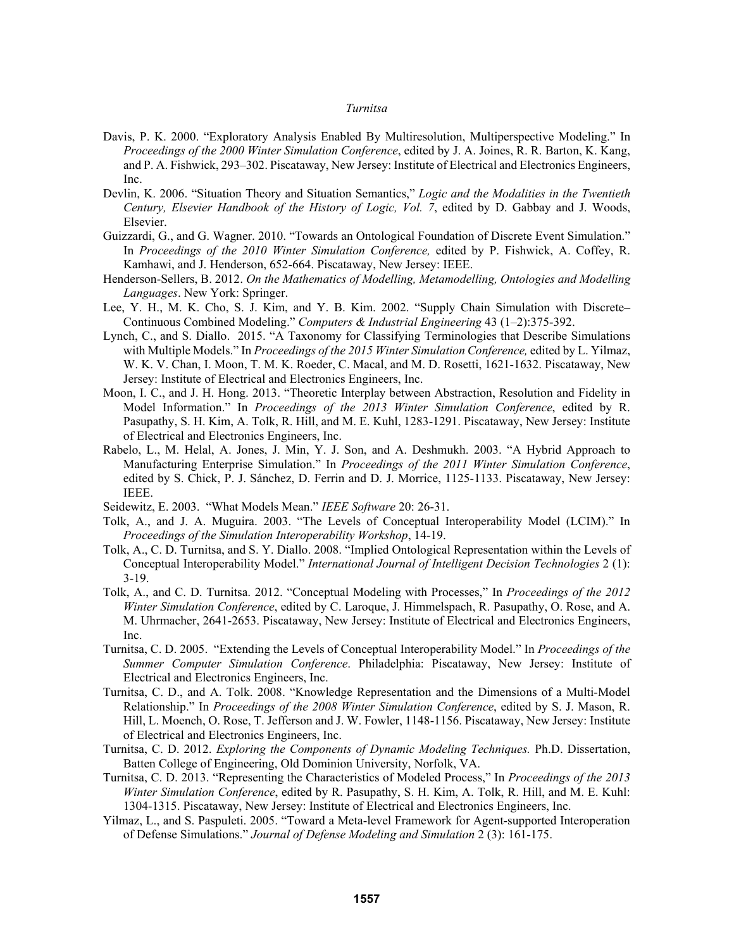- Davis, P. K. 2000. "Exploratory Analysis Enabled By Multiresolution, Multiperspective Modeling." In *Proceedings of the 2000 Winter Simulation Conference*, edited by J. A. Joines, R. R. Barton, K. Kang, and P. A. Fishwick, 293–302. Piscataway, New Jersey: Institute of Electrical and Electronics Engineers, Inc.
- Devlin, K. 2006. "Situation Theory and Situation Semantics," *Logic and the Modalities in the Twentieth Century, Elsevier Handbook of the History of Logic, Vol. 7*, edited by D. Gabbay and J. Woods, Elsevier.
- Guizzardi, G., and G. Wagner. 2010. "Towards an Ontological Foundation of Discrete Event Simulation." In *Proceedings of the 2010 Winter Simulation Conference,* edited by P. Fishwick, A. Coffey, R. Kamhawi, and J. Henderson, 652-664. Piscataway, New Jersey: IEEE.
- Henderson-Sellers, B. 2012. *On the Mathematics of Modelling, Metamodelling, Ontologies and Modelling Languages*. New York: Springer.
- Lee, Y. H., M. K. Cho, S. J. Kim, and Y. B. Kim. 2002. "Supply Chain Simulation with Discrete– Continuous Combined Modeling." *Computers & Industrial Engineering* 43 (1–2):375-392.
- Lynch, C., and S. Diallo. 2015. "A Taxonomy for Classifying Terminologies that Describe Simulations with Multiple Models." In *Proceedings of the 2015 Winter Simulation Conference,* edited by L. Yilmaz, W. K. V. Chan, I. Moon, T. M. K. Roeder, C. Macal, and M. D. Rosetti, 1621-1632. Piscataway, New Jersey: Institute of Electrical and Electronics Engineers, Inc.
- Moon, I. C., and J. H. Hong. 2013. "Theoretic Interplay between Abstraction, Resolution and Fidelity in Model Information." In *Proceedings of the 2013 Winter Simulation Conference*, edited by R. Pasupathy, S. H. Kim, A. Tolk, R. Hill, and M. E. Kuhl, 1283-1291. Piscataway, New Jersey: Institute of Electrical and Electronics Engineers, Inc.
- Rabelo, L., M. Helal, A. Jones, J. Min, Y. J. Son, and A. Deshmukh. 2003. "A Hybrid Approach to Manufacturing Enterprise Simulation." In *Proceedings of the 2011 Winter Simulation Conference*, edited by S. Chick, P. J. Sánchez, D. Ferrin and D. J. Morrice, 1125-1133. Piscataway, New Jersey: IEEE.
- Seidewitz, E. 2003. "What Models Mean." *IEEE Software* 20: 26-31.
- Tolk, A., and J. A. Muguira. 2003. "The Levels of Conceptual Interoperability Model (LCIM)." In *Proceedings of the Simulation Interoperability Workshop*, 14-19.
- Tolk, A., C. D. Turnitsa, and S. Y. Diallo. 2008. "Implied Ontological Representation within the Levels of Conceptual Interoperability Model." *International Journal of Intelligent Decision Technologies* 2 (1): 3-19.
- Tolk, A., and C. D. Turnitsa. 2012. "Conceptual Modeling with Processes," In *Proceedings of the 2012 Winter Simulation Conference*, edited by C. Laroque, J. Himmelspach, R. Pasupathy, O. Rose, and A. M. Uhrmacher, 2641-2653. Piscataway, New Jersey: Institute of Electrical and Electronics Engineers, Inc.
- Turnitsa, C. D. 2005. "Extending the Levels of Conceptual Interoperability Model." In *Proceedings of the Summer Computer Simulation Conference*. Philadelphia: Piscataway, New Jersey: Institute of Electrical and Electronics Engineers, Inc.
- Turnitsa, C. D., and A. Tolk. 2008. "Knowledge Representation and the Dimensions of a Multi-Model Relationship." In *Proceedings of the 2008 Winter Simulation Conference*, edited by S. J. Mason, R. Hill, L. Moench, O. Rose, T. Jefferson and J. W. Fowler, 1148-1156. Piscataway, New Jersey: Institute of Electrical and Electronics Engineers, Inc.
- Turnitsa, C. D. 2012. *Exploring the Components of Dynamic Modeling Techniques.* Ph.D. Dissertation, Batten College of Engineering, Old Dominion University, Norfolk, VA.
- Turnitsa, C. D. 2013. "Representing the Characteristics of Modeled Process," In *Proceedings of the 2013 Winter Simulation Conference*, edited by R. Pasupathy, S. H. Kim, A. Tolk, R. Hill, and M. E. Kuhl: 1304-1315. Piscataway, New Jersey: Institute of Electrical and Electronics Engineers, Inc.
- Yilmaz, L., and S. Paspuleti. 2005. "Toward a Meta-level Framework for Agent-supported Interoperation of Defense Simulations." *Journal of Defense Modeling and Simulation* 2 (3): 161-175.